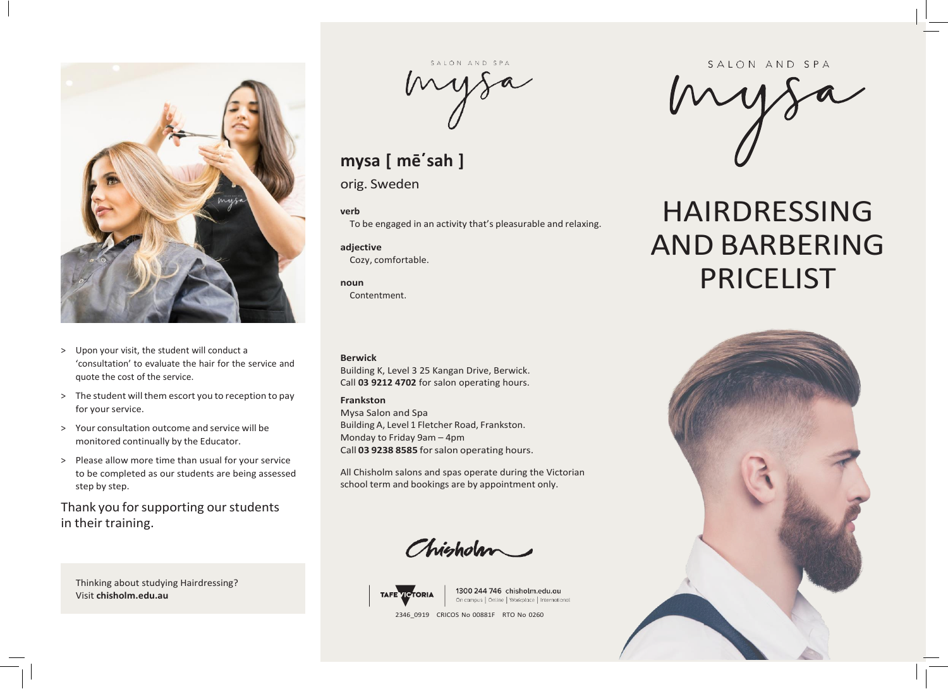

- > Upon your visit, the student will conduct a 'consultation' to evaluate the hair for the service and quote the cost of the service.
- > The student will them escort you to reception to pay for your service.
- > Your consultation outcome and service will be monitored continually by the Educator.
- > Please allow more time than usual for your service to be completed as our students are being assessed step by step.

Thank you for supporting our students in their training.

Thinking about studying Hairdressing? Visit **chisholm.edu.au**

mysa

## **mysa [ mē΄sah ]**

orig. Sweden

**verb**

To be engaged in an activity that's pleasurable and relaxing.

**adjective** Cozy, comfortable.

**noun** Contentment.

**Berwick**

Building K, Level 3 25 Kangan Drive, Berwick. Call **03 9212 4702** for salon operating hours.

## **Frankston**

Mysa Salon and Spa Building A, Level 1 Fletcher Road, Frankston. Monday to Friday 9am – 4pm Call **03 9238 8585** forsalon operating hours.

All Chisholm salons and spas operate during the Victorian school term and bookings are by appointment only.

Chisholm



1300 244 746 chisholm.edu.au On campus | Online | Workplace | International

2346\_0919 CRICOS No 00881F RTO No 0260

SALON AND SPA

mysa

# HAIRDRESSING AND BARBERING PRICELIST